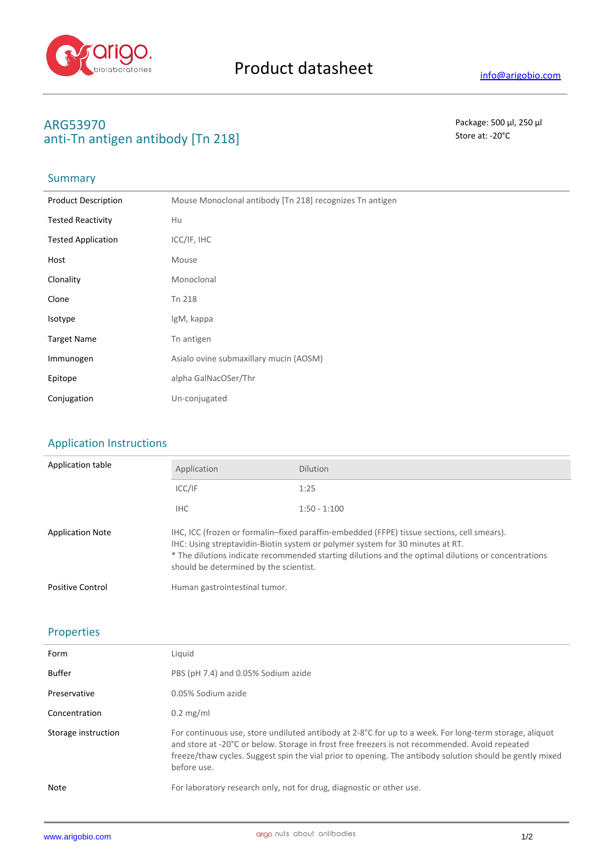

## **ARG53970** Package: 500 μl, 250 μl anti-Tn antigen antibody [Tn 218] Store at: -20<sup>°</sup>C

## Summary

| <b>Product Description</b> | Mouse Monoclonal antibody [Tn 218] recognizes Tn antigen |
|----------------------------|----------------------------------------------------------|
| <b>Tested Reactivity</b>   | Hu                                                       |
| <b>Tested Application</b>  | ICC/IF, IHC                                              |
| Host                       | Mouse                                                    |
| Clonality                  | Monoclonal                                               |
| Clone                      | Tn 218                                                   |
| Isotype                    | IgM, kappa                                               |
| <b>Target Name</b>         | Tn antigen                                               |
| Immunogen                  | Asialo ovine submaxillary mucin (AOSM)                   |
| Epitope                    | alpha GalNacOSer/Thr                                     |
| Conjugation                | Un-conjugated                                            |

### Application Instructions

| Application table       | Application                                                                                                                                                                                                                                                                                                                  | <b>Dilution</b> |  |
|-------------------------|------------------------------------------------------------------------------------------------------------------------------------------------------------------------------------------------------------------------------------------------------------------------------------------------------------------------------|-----------------|--|
|                         | ICC/IF                                                                                                                                                                                                                                                                                                                       | 1:25            |  |
|                         | IHC.                                                                                                                                                                                                                                                                                                                         | $1:50 - 1:100$  |  |
| <b>Application Note</b> | IHC, ICC (frozen or formalin–fixed paraffin-embedded (FFPE) tissue sections, cell smears).<br>IHC: Using streptavidin-Biotin system or polymer system for 30 minutes at RT.<br>* The dilutions indicate recommended starting dilutions and the optimal dilutions or concentrations<br>should be determined by the scientist. |                 |  |
| <b>Positive Control</b> | Human gastrointestinal tumor.                                                                                                                                                                                                                                                                                                |                 |  |

#### Properties

| Form                | Liauid                                                                                                                                                                                                                                                                                                                                         |
|---------------------|------------------------------------------------------------------------------------------------------------------------------------------------------------------------------------------------------------------------------------------------------------------------------------------------------------------------------------------------|
| Buffer              | PBS (pH 7.4) and 0.05% Sodium azide                                                                                                                                                                                                                                                                                                            |
| Preservative        | 0.05% Sodium azide                                                                                                                                                                                                                                                                                                                             |
| Concentration       | $0.2 \text{ mg/ml}$                                                                                                                                                                                                                                                                                                                            |
| Storage instruction | For continuous use, store undiluted antibody at 2-8 $^{\circ}$ C for up to a week. For long-term storage, aliquot<br>and store at -20°C or below. Storage in frost free freezers is not recommended. Avoid repeated<br>freeze/thaw cycles. Suggest spin the vial prior to opening. The antibody solution should be gently mixed<br>before use. |
| Note                | For laboratory research only, not for drug, diagnostic or other use.                                                                                                                                                                                                                                                                           |